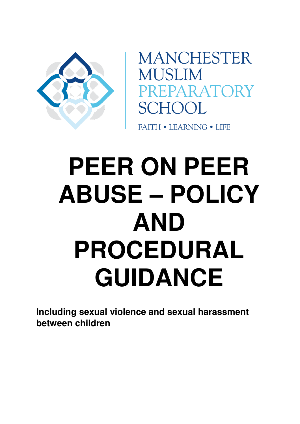

**MANCHESTER MUSLIM** PREPARATORY SCHOOL

**FAITH • LEARNING • LIFE** 

# **PEER ON PEER ABUSE – POLICY AND PROCEDURAL GUIDANCE**

**Including sexual violence and sexual harassment between children**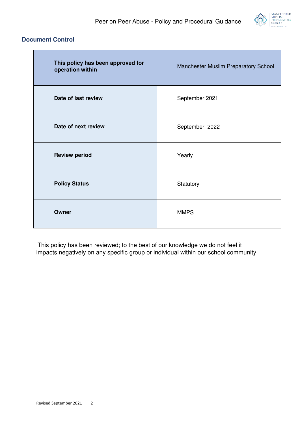

# **Document Control**

| This policy has been approved for<br>operation within | Manchester Muslim Preparatory School |
|-------------------------------------------------------|--------------------------------------|
| Date of last review                                   | September 2021                       |
| Date of next review                                   | September 2022                       |
| <b>Review period</b>                                  | Yearly                               |
| <b>Policy Status</b>                                  | Statutory                            |
| Owner                                                 | <b>MMPS</b>                          |

This policy has been reviewed; to the best of our knowledge we do not feel it impacts negatively on any specific group or individual within our school community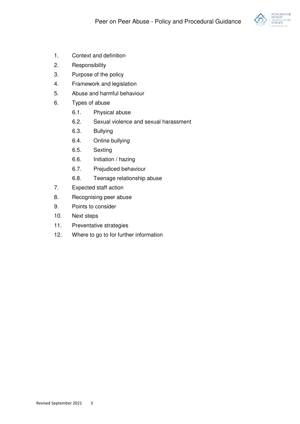

- 1. Context and definition
- 2. Responsibility
- 3. Purpose of the policy
- 4. Framework and legislation
- 5. Abuse and harmful behaviour
- 6. Types of abuse
	- 6.1. Physical abuse
	- 6.2. Sexual violence and sexual harassment
	- 6.3. Bullying
	- 6.4. Online bullying
	- 6.5. Sexting
	- 6.6. Initiation / hazing
	- 6.7. Prejudiced behaviour
	- 6.8. Teenage relationship abuse
- 7. Expected staff action
- 8. Recognising peer abuse
- 9. Points to consider
- 10. Next steps
- 11. Preventative strategies
- 12. Where to go to for further information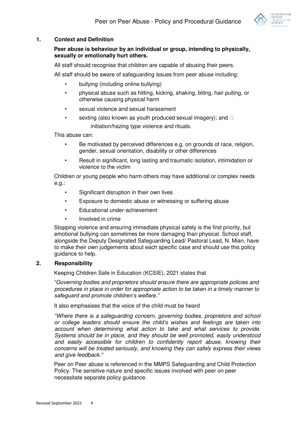

#### **1. Context and Definition**

# **Peer abuse is behaviour by an individual or group, intending to physically, sexually or emotionally hurt others.**

All staff should recognise that children are capable of abusing their peers.

All staff should be aware of safeguarding issues from peer abuse including:

- bullying (including online bullying)
- physical abuse such as hitting, kicking, shaking, biting, hair pulling, or otherwise causing physical harm
- sexual violence and sexual harassment
- sexting (also known as youth produced sexual imagery); and  $\square$ initiation/hazing type violence and rituals.

This abuse can:

- Be motivated by perceived differences e.g. on grounds of race, religion, gender, sexual orientation, disability or other differences
- Result in significant, long lasting and traumatic isolation, intimidation or violence to the victim

Children or young people who harm others may have additional or complex needs e.g.:

- Significant disruption in their own lives
- Exposure to domestic abuse or witnessing or suffering abuse
- Educational under-achievement
- Involved in crime

Stopping violence and ensuring immediate physical safety is the first priority, but emotional bullying can sometimes be more damaging than physical. School staff, alongside the Deputy Designated Safeguarding Lead/ Pastoral Lead, N. Mian, have to make their own judgements about each specific case and should use this policy guidance to help.

#### **2. Responsibility**

Keeping Children Safe in Education (KCSIE), 2021 states that

*"Governing bodies and proprietors should ensure there are appropriate policies and procedures in place in order for appropriate action to be taken in a timely manner to safeguard and promote children's welfare."*

It also emphasises that the voice of the child must be heard

*"Where there is a safeguarding concern, governing bodies, proprietors and school or college leaders should ensure the child's wishes and feelings are taken into account when determining what action to take and what services to provide. Systems should be in place, and they should be well promoted, easily understood and easily accessible for children to confidently report abuse, knowing their concerns will be treated seriously, and knowing they can safely express their views and give feedback."*

Peer on Peer abuse is referenced in the MMPS Safeguarding and Child Protection Policy. The sensitive nature and specific issues involved with peer on peer necessitate separate policy guidance.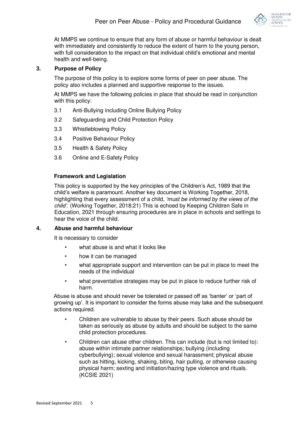

At MMPS we continue to ensure that any form of abuse or harmful behaviour is dealt with immediately and consistently to reduce the extent of harm to the young person, with full consideration to the impact on that individual child's emotional and mental health and well-being.

#### **3. Purpose of Policy**

The purpose of this policy is to explore some forms of peer on peer abuse. The policy also includes a planned and supportive response to the issues.

At MMPS we have the following policies in place that should be read in conjunction with this policy:

- 3.1 Anti-Bullying including Online Bullying Policy
- 3.2 Safeguarding and Child Protection Policy
- 3.3 Whistleblowing Policy
- 3.4 Positive Behaviour Policy
- 3.5 Health & Safety Policy
- 3.6 Online and E-Safety Policy

#### **Framework and Legislation**

This policy is supported by the key principles of the Children's Act, 1989 that the child's welfare is paramount. Another key document is Working Together, 2018, highlighting that every assessment of a child, *'must be informed by the views of the child'.* (Working Together, 2018:21) This is echoed by Keeping Children Safe in Education, 2021 through ensuring procedures are in place in schools and settings to hear the voice of the child.

#### **4. Abuse and harmful behaviour**

It is necessary to consider

- what abuse is and what it looks like
- how it can be managed
- what appropriate support and intervention can be put in place to meet the needs of the individual
- what preventative strategies may be put in place to reduce further risk of harm.

Abuse is abuse and should never be tolerated or passed off as 'banter' or 'part of growing up'. It is important to consider the forms abuse may take and the subsequent actions required.

- Children are vulnerable to abuse by their peers. Such abuse should be taken as seriously as abuse by adults and should be subject to the same child protection procedures.
- Children can abuse other children. This can include (but is not limited to): abuse within intimate partner relationships; bullying (including cyberbullying); sexual violence and sexual harassment; physical abuse such as hitting, kicking, shaking, biting, hair pulling, or otherwise causing physical harm; sexting and initiation/hazing type violence and rituals. (KCSIE 2021)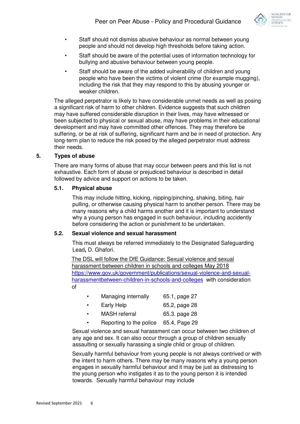

- Staff should not dismiss abusive behaviour as normal between young people and should not develop high thresholds before taking action.
- Staff should be aware of the potential uses of information technology for bullying and abusive behaviour between young people.
- Staff should be aware of the added vulnerability of children and young people who have been the victims of violent crime (for example mugging), including the risk that they may respond to this by abusing younger or weaker children.

The alleged perpetrator is likely to have considerable unmet needs as well as posing a significant risk of harm to other children. Evidence suggests that such children may have suffered considerable disruption in their lives, may have witnessed or been subjected to physical or [sexual abuse,](http://trixresources.proceduresonline.com/nat_key/keywords/sexual_abuse.html) may have problems in their educational development and may have committed other offences. They may therefore be suffering, or be at risk of suffering, [significant harm a](http://trixresources.proceduresonline.com/nat_key/keywords/significant_harm.html)nd be in need of protection. Any long-term plan to reduce the risk posed by the alleged perpetrator must address their needs.

# **5. Types of abuse**

There are many forms of abuse that may occur between peers and this list is not exhaustive. Each form of abuse or prejudiced behaviour is described in detail followed by advice and support on actions to be taken.

#### **5.1. Physical abuse**

This may include hitting, kicking, nipping/pinching, shaking, biting, hair pulling, or otherwise causing physical harm to another person. There may be many reasons why a child harms another and it is important to understand why a young person has engaged in such behaviour, including accidently before considering the action or punishment to be undertaken.

#### **5.2. Sexual violence and sexual harassment**

This must always be referred immediately to the Designated Safeguarding Lead**,** D. Ghafori.

The DSL will follow the DfE Guidance: [Sexual violence and sexual](https://www.gov.uk/government/uploads/system/uploads/attachment_data/file/719902/Sexual_violence_and_sexual_harassment_between_children_in_schools_and_colleges.pdf)  [harassment between children in schools and colleges M](https://www.gov.uk/government/uploads/system/uploads/attachment_data/file/719902/Sexual_violence_and_sexual_harassment_between_children_in_schools_and_colleges.pdf)ay 2018 [https://www.gov.uk/government/publications/sexual-violence-and-sexual](https://www.gov.uk/government/publications/sexual-violence-and-sexual-harassment-between-children-in-schools-and-colleges)[harassmentbetween-children-in-schools-and-colleges](https://www.gov.uk/government/publications/sexual-violence-and-sexual-harassment-between-children-in-schools-and-colleges) with consideration of

- Managing internally 65.1, page 27
- Early Help 65.2, page 28
- MASH referral 65.3. page 28
- Reporting to the police 65.4, Page 29

Sexual violence and sexual harassment can occur between two children of any age and sex. It can also occur through a group of children sexually assaulting or sexually harassing a single child or group of children.

Sexually harmful behaviour from young people is not always contrived or with the intent to harm others. There may be many reasons why a young person engages in sexually harmful behaviour and it may be just as distressing to the young person who instigates it as to the young person it is intended towards. Sexually harmful behaviour may include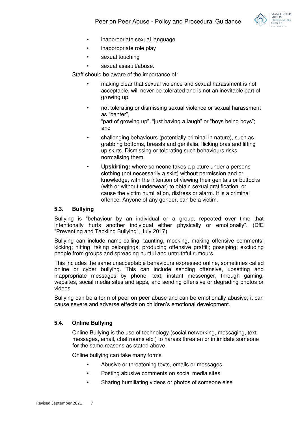

- inappropriate sexual language
- inappropriate role play
- sexual touching
- sexual assault/abuse.

Staff should be aware of the importance of:

- making clear that sexual violence and sexual harassment is not acceptable, will never be tolerated and is not an inevitable part of growing up
- not tolerating or dismissing sexual violence or sexual harassment as "banter",

"part of growing up", "just having a laugh" or "boys being boys"; and

- challenging behaviours (potentially criminal in nature), such as grabbing bottoms, breasts and genitalia, flicking bras and lifting up skirts. Dismissing or tolerating such behaviours risks normalising them
- **Upskirting:** where someone takes a picture under a persons clothing (not necessarily a skirt) without permission and or knowledge, with the intention of viewing their genitals or buttocks (with or without underwear) to obtain sexual gratification, or cause the victim humiliation, distress or alarm. It is a criminal offence. Anyone of any gender, can be a victim.

#### **5.3. Bullying**

Bullying is "behaviour by an individual or a group, repeated over time that intentionally hurts another individual either physically or emotionally". (DfE "Preventing and Tackling Bullying", July 2017)

Bullying can include name-calling, taunting, mocking, making offensive comments; kicking; hitting; taking belongings; producing offensive graffiti; gossiping; excluding people from groups and spreading hurtful and untruthful rumours.

This includes the same unacceptable behaviours expressed online, sometimes called online or cyber bullying. This can include sending offensive, upsetting and inappropriate messages by phone, text, instant messenger, through gaming, websites, social media sites and apps, and sending offensive or degrading photos or videos.

Bullying can be a form of peer on peer abuse and can be emotionally abusive; it can cause severe and adverse effects on children's emotional development.

# **5.4. Online Bullying**

Online Bullying is the use of technology (social networking, messaging, text messages, email, chat rooms etc.) to harass threaten or intimidate someone for the same reasons as stated above.

Online bullying can take many forms

- Abusive or threatening texts, emails or messages
- Posting abusive comments on social media sites
- Sharing humiliating videos or photos of someone else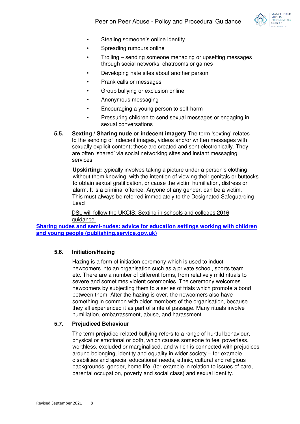

- Stealing someone's online identity
- Spreading rumours online
- Trolling sending someone menacing or upsetting messages through social networks, chatrooms or games
- Developing hate sites about another person
- Prank calls or messages
- Group bullying or exclusion online
- Anonymous messaging
- Encouraging a young person to self-harm
- Pressuring children to send sexual messages or engaging in sexual conversations
- **5.5. Sexting / Sharing nude or indecent imagery** The term 'sexting' relates to the sending of indecent images, videos and/or written messages with sexually explicit content; these are created and sent electronically. They are often 'shared' via social networking sites and instant messaging services.

**Upskirting:** typically involves taking a picture under a person's clothing without them knowing, with the intention of viewing their genitals or buttocks to obtain sexual gratification, or cause the victim humiliation, distress or alarm. It is a criminal offence. Anyone of any gender, can be a victim. This must always be referred immediately to the Designated Safeguarding Lead

DSL will follow the UKCIS: Sexting in schools and colleges 2016 guidance.

**[Sharing nudes and semi-nudes: advice for education settings working with children](https://assets.publishing.service.gov.uk/government/uploads/system/uploads/attachment_data/file/1008443/UKCIS_sharing_nudes_and_semi_nudes_advice_for_education_settings__Web_accessible_.pdf)  [and young people \(publishing.service.gov.uk\)](https://assets.publishing.service.gov.uk/government/uploads/system/uploads/attachment_data/file/1008443/UKCIS_sharing_nudes_and_semi_nudes_advice_for_education_settings__Web_accessible_.pdf)**

#### **5.6. Initiation/Hazing**

Hazing is a form of initiation ceremony which is used to induct newcomers into an organisation such as a private school, sports team etc. There are a number of different forms, from relatively mild rituals to severe and sometimes violent ceremonies. The ceremony welcomes newcomers by subjecting them to a series of trials which promote a bond between them. After the hazing is over, the newcomers also have something in common with older members of the organisation, because they all experienced it as part of a rite of passage. Many rituals involve humiliation, embarrassment, abuse, and harassment.

#### **5.7. Prejudiced Behaviour**

The term prejudice-related bullying refers to a range of hurtful behaviour, physical or emotional or both, which causes someone to feel powerless, worthless, excluded or marginalised, and which is connected with prejudices around belonging, identity and equality in wider society – for example disabilities and special educational needs, ethnic, cultural and religious backgrounds, gender, home life, (for example in relation to issues of care, parental occupation, poverty and social class) and sexual identity.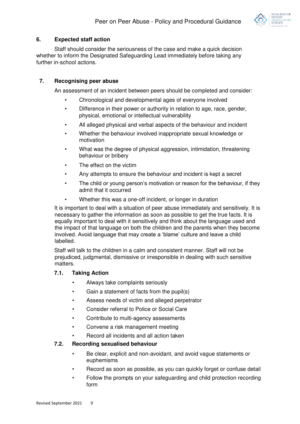

# **6. Expected staff action**

Staff should consider the seriousness of the case and make a quick decision whether to inform the Designated Safeguarding Lead immediately before taking any further in-school actions.

# **7. Recognising peer abuse**

An assessment of an incident between peers should be completed and consider:

- Chronological and developmental ages of everyone involved
- Difference in their power or authority in relation to age, race, gender, physical, emotional or intellectual vulnerability
- All alleged physical and verbal aspects of the behaviour and incident
- Whether the behaviour involved inappropriate sexual knowledge or motivation
- What was the degree of physical aggression, intimidation, threatening behaviour or bribery
- The effect on the victim
- Any attempts to ensure the behaviour and incident is kept a secret
- The child or young person's motivation or reason for the behaviour, if they admit that it occurred
- Whether this was a one-off incident, or longer in duration

It is important to deal with a situation of peer abuse immediately and sensitively. It is necessary to gather the information as soon as possible to get the true facts. It is equally important to deal with it sensitively and think about the language used and the impact of that language on both the children and the parents when they become involved. Avoid language that may create a 'blame' culture and leave a child labelled.

Staff will talk to the children in a calm and consistent manner. Staff will not be prejudiced, judgmental, dismissive or irresponsible in dealing with such sensitive matters.

# **7.1. Taking Action**

- Always take complaints seriously
- Gain a statement of facts from the pupil(s)
- Assess needs of victim and alleged perpetrator
- Consider referral to Police or Social Care
- Contribute to multi-agency assessments
- Convene a risk management meeting
- Record all incidents and all action taken

# **7.2. Recording sexualised behaviour**

- Be clear, explicit and non-avoidant, and avoid vague statements or euphemisms
- Record as soon as possible, as you can quickly forget or confuse detail
- Follow the prompts on your safeguarding and child protection recording form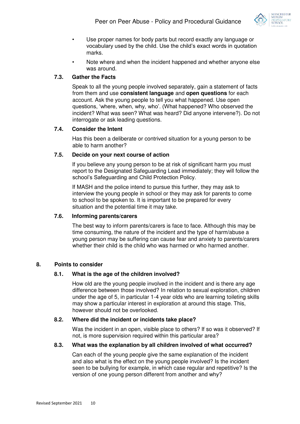

- Use proper names for body parts but record exactly any language or vocabulary used by the child. Use the child's exact words in quotation marks.
- Note where and when the incident happened and whether anyone else was around.

# **7.3. Gather the Facts**

Speak to all the young people involved separately, gain a statement of facts from them and use **consistent language** and **open questions** for each account. Ask the young people to tell you what happened. Use open questions, 'where, when, why, who'. (What happened? Who observed the incident? What was seen? What was heard? Did anyone intervene?). Do not interrogate or ask leading questions.

# **7.4. Consider the Intent**

Has this been a deliberate or contrived situation for a young person to be able to harm another?

# **7.5. Decide on your next course of action**

If you believe any young person to be at risk of significant harm you must report to the Designated Safeguarding Lead immediately; they will follow the school's Safeguarding and Child Protection Policy.

If MASH and the police intend to pursue this further, they may ask to interview the young people in school or they may ask for parents to come to school to be spoken to. It is important to be prepared for every situation and the potential time it may take.

# **7.6. Informing parents/carers**

The best way to inform parents/carers is face to face. Although this may be time consuming, the nature of the incident and the type of harm/abuse a young person may be suffering can cause fear and anxiety to parents/carers whether their child is the child who was harmed or who harmed another.

# **8. Points to consider**

# **8.1. What is the age of the children involved?**

How old are the young people involved in the incident and is there any age difference between those involved? In relation to sexual exploration, children under the age of 5, in particular 1-4 year olds who are learning toileting skills may show a particular interest in exploration at around this stage. This, however should not be overlooked.

# **8.2. Where did the incident or incidents take place?**

Was the incident in an open, visible place to others? If so was it observed? If not, is more supervision required within this particular area?

#### **8.3. What was the explanation by all children involved of what occurred?**

Can each of the young people give the same explanation of the incident and also what is the effect on the young people involved? Is the incident seen to be bullying for example, in which case regular and repetitive? Is the version of one young person different from another and why?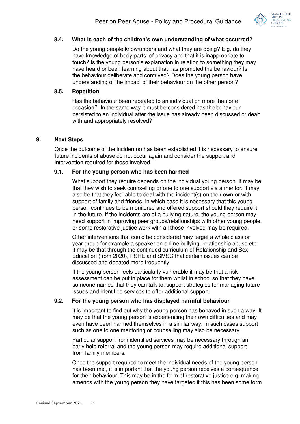

#### **8.4. What is each of the children's own understanding of what occurred?**

Do the young people know/understand what they are doing? E.g. do they have knowledge of body parts, of privacy and that it is inappropriate to touch? Is the young person's explanation in relation to something they may have heard or been learning about that has prompted the behaviour? Is the behaviour deliberate and contrived? Does the young person have understanding of the impact of their behaviour on the other person?

#### **8.5. Repetition**

Has the behaviour been repeated to an individual on more than one occasion? In the same way it must be considered has the behaviour persisted to an individual after the issue has already been discussed or dealt with and appropriately resolved?

#### **9. Next Steps**

Once the outcome of the incident(s) has been established it is necessary to ensure future incidents of abuse do not occur again and consider the support and intervention required for those involved.

#### **9.1. For the young person who has been harmed**

What support they require depends on the individual young person. It may be that they wish to seek counselling or one to one support via a mentor. It may also be that they feel able to deal with the incident(s) on their own or with support of family and friends; in which case it is necessary that this young person continues to be monitored and offered support should they require it in the future. If the incidents are of a bullying nature, the young person may need support in improving peer groups/relationships with other young people, or some restorative justice work with all those involved may be required.

Other interventions that could be considered may target a whole class or year group for example a speaker on online bullying, relationship abuse etc. It may be that through the continued curriculum of Relationship and Sex Education (from 2020), PSHE and SMSC that certain issues can be discussed and debated more frequently.

If the young person feels particularly vulnerable it may be that a risk assessment can be put in place for them whilst in school so that they have someone named that they can talk to, support strategies for managing future issues and identified services to offer additional support.

#### **9.2. For the young person who has displayed harmful behaviour**

It is important to find out why the young person has behaved in such a way. It may be that the young person is experiencing their own difficulties and may even have been harmed themselves in a similar way. In such cases support such as one to one mentoring or counselling may also be necessary.

Particular support from identified services may be necessary through an early help referral and the young person may require additional support from family members.

Once the support required to meet the individual needs of the young person has been met, it is important that the young person receives a consequence for their behaviour. This may be in the form of restorative justice e.g. making amends with the young person they have targeted if this has been some form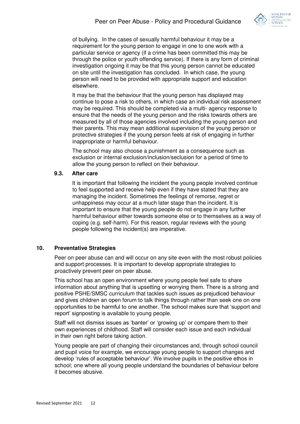

of bullying. In the cases of sexually harmful behaviour it may be a requirement for the young person to engage in one to one work with a particular service or agency (if a crime has been committed this may be through the police or youth offending service). If there is any form of criminal investigation ongoing it may be that this young person cannot be educated on site until the investigation has concluded. In which case, the young person will need to be provided with appropriate support and education elsewhere.

It may be that the behaviour that the young person has displayed may continue to pose a risk to others, in which case an individual risk assessment may be required. This should be completed via a multi- agency response to ensure that the needs of the young person and the risks towards others are measured by all of those agencies involved including the young person and their parents. This may mean additional supervision of the young person or protective strategies if the young person feels at risk of engaging in further inappropriate or harmful behaviour.

The school may also choose a punishment as a consequence such as exclusion or internal exclusion/inclusion/seclusion for a period of time to allow the young person to reflect on their behaviour.

#### **9.3. After care**

It is important that following the incident the young people involved continue to feel supported and receive help even if they have stated that they are managing the incident. Sometimes the feelings of remorse, regret or unhappiness may occur at a much later stage than the incident. It is important to ensure that the young people do not engage in any further harmful behaviour either towards someone else or to themselves as a way of coping (e.g. self-harm). For this reason, regular reviews with the young people following the incident(s) are imperative.

# **10. Preventative Strategies**

Peer on peer abuse can and will occur on any site even with the most robust policies and support processes. It is important to develop appropriate strategies to proactively prevent peer on peer abuse.

This school has an open environment where young people feel safe to share information about anything that is upsetting or worrying them. There is a strong and positive PSHE/SMSC curriculum that tackles such issues as prejudiced behaviour and gives children an open forum to talk things through rather than seek one on one opportunities to be harmful to one another. The school makes sure that 'support and report' signposting is available to young people.

Staff will not dismiss issues as 'banter' or 'growing up' or compare them to their own experiences of childhood. Staff will consider each issue and each individual in their own right before taking action.

Young people are part of changing their circumstances and, through school council and pupil voice for example, we encourage young people to support changes and develop 'rules of acceptable behaviour'. We involve pupils in the positive ethos in school; one where all young people understand the boundaries of behaviour before it becomes abusive.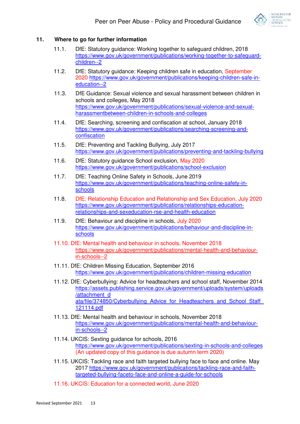

# **11. Where to go for further information**

- 11.1. DfE: Statutory guidance: Working together to safeguard children, 2018 [https://www.gov.uk/government/publications/working-together-to-safeguard](https://www.gov.uk/government/publications/working-together-to-safeguard-children--2)[children--2](https://www.gov.uk/government/publications/working-together-to-safeguard-children--2)
- 11.2. DfE: Statutory guidance: Keeping children safe in education, September 2020 [https://www.gov.uk/government/publications/keeping-children-safe-in](https://www.gov.uk/government/publications/keeping-children-safe-in-education--2)[education--2](https://www.gov.uk/government/publications/keeping-children-safe-in-education--2)
- 11.3. DfE Guidance: [Sexual violence and sexual harassment between children in](https://www.gov.uk/government/uploads/system/uploads/attachment_data/file/719902/Sexual_violence_and_sexual_harassment_between_children_in_schools_and_colleges.pdf)  [schools and colleges,](https://www.gov.uk/government/uploads/system/uploads/attachment_data/file/719902/Sexual_violence_and_sexual_harassment_between_children_in_schools_and_colleges.pdf) May 2018 [https://www.gov.uk/government/publications/sexual-violence-and-sexual](https://www.gov.uk/government/publications/sexual-violence-and-sexual-harassment-between-children-in-schools-and-colleges)[harassmentbetween-children-in-schools-and-colleges](https://www.gov.uk/government/publications/sexual-violence-and-sexual-harassment-between-children-in-schools-and-colleges)
- 11.4. DfE: Searching, screening and confiscation at school, January 2018 [https://www.gov.uk/government/publications/searching-screening-and](https://www.gov.uk/government/publications/searching-screening-and-confiscation)[confiscation](https://www.gov.uk/government/publications/searching-screening-and-confiscation)
- 11.5. DfE: Preventing and Tackling Bullying, July 2017 <https://www.gov.uk/government/publications/preventing-and-tackling-bullying>
- 11.6. DfE: Statutory guidance School exclusion, May 2020 <https://www.gov.uk/government/publications/school-exclusion>
- 11.7. DfE: Teaching Online Safety in Schools, June 2019 [https://www.gov.uk/government/publications/teaching-online-safety-in](https://www.gov.uk/government/publications/teaching-online-safety-in-schools)[schools](https://www.gov.uk/government/publications/teaching-online-safety-in-schools)
- 11.8. DfE: Relationship Education and Relationship and Sex Education, July 2020 [https://www.gov.uk/government/publications/relationships-education](https://www.gov.uk/government/publications/relationships-education-relationships-and-sex-education-rse-and-health-education)[relationships-and-sexeducation-rse-and-health-education](https://www.gov.uk/government/publications/relationships-education-relationships-and-sex-education-rse-and-health-education)
- 11.9. DfE: Behaviour and discipline in schools, July 2020 [https://www.gov.uk/government/publications/behaviour-and-discipline-in](https://www.gov.uk/government/publications/behaviour-and-discipline-in-schools)[schools](https://www.gov.uk/government/publications/behaviour-and-discipline-in-schools)
- 11.10. DfE: Mental health and behaviour in schools, November 2018 [https://www.gov.uk/government/publications/mental-health-and-behaviour](https://www.gov.uk/government/publications/mental-health-and-behaviour-in-schools--2)[in-schools--2](https://www.gov.uk/government/publications/mental-health-and-behaviour-in-schools--2)
- 11.11. DfE: Children Missing Education, September 2016 <https://www.gov.uk/government/publications/children-missing-education>
- 11.12. DfE: Cyberbullying: Advice for headteachers and school staff, November 2014 [https://assets.publishing.service.gov.uk/government/uploads/system/uploads](https://assets.publishing.service.gov.uk/government/uploads/system/uploads/attachment_data/file/374850/Cyberbullying_Advice_for_Headteachers_and_School_Staff_121114.pdf) [/attachment\\_d](https://assets.publishing.service.gov.uk/government/uploads/system/uploads/attachment_data/file/374850/Cyberbullying_Advice_for_Headteachers_and_School_Staff_121114.pdf)  ata/file/374850/Cyberbullying Advice for Headteachers and School Staff [121114.pdf](https://assets.publishing.service.gov.uk/government/uploads/system/uploads/attachment_data/file/374850/Cyberbullying_Advice_for_Headteachers_and_School_Staff_121114.pdf)
- 11.13. DfE: Mental health and behaviour in schools, November 2018 [https://www.gov.uk/government/publications/mental-health-and-behaviour](https://www.gov.uk/government/publications/mental-health-and-behaviour-in-schools--2)[in-schools--2](https://www.gov.uk/government/publications/mental-health-and-behaviour-in-schools--2)
- 11.14. UKCIS: Sexting guidance for schools, 2016 <https://www.gov.uk/government/publications/sexting-in-schools-and-colleges> (An updated copy of this guidance is due autumn term 2020)
- 11.15. UKCIS: Tackling race and faith targeted bullying face to face and online. May 2017 [https://www.gov.uk/government/publications/tackling-race-and-faith](https://www.gov.uk/government/publications/tackling-race-and-faith-targeted-bullying-face-to-face-and-online-a-guide-for-schools)[targeted-bullying-faceto-face-and-online-a-guide-for-schools](https://www.gov.uk/government/publications/tackling-race-and-faith-targeted-bullying-face-to-face-and-online-a-guide-for-schools)
- 11.16. UKCIS: Education for a connected world, June 2020